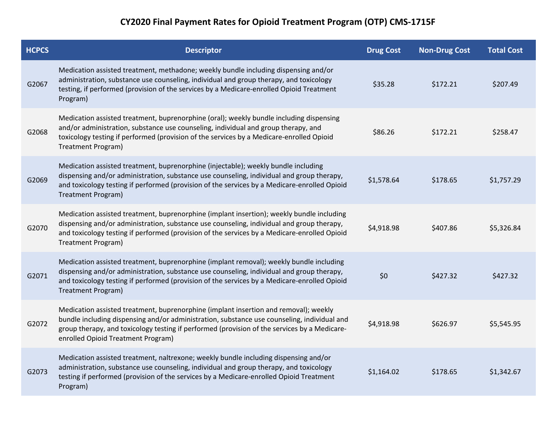## **CY2020 Final Payment Rates for Opioid Treatment Program (OTP) CMS-1715F**

| <b>HCPCS</b> | <b>Descriptor</b>                                                                                                                                                                                                                                                                                                         | <b>Drug Cost</b> | <b>Non-Drug Cost</b> | <b>Total Cost</b> |
|--------------|---------------------------------------------------------------------------------------------------------------------------------------------------------------------------------------------------------------------------------------------------------------------------------------------------------------------------|------------------|----------------------|-------------------|
| G2067        | Medication assisted treatment, methadone; weekly bundle including dispensing and/or<br>administration, substance use counseling, individual and group therapy, and toxicology<br>testing, if performed (provision of the services by a Medicare-enrolled Opioid Treatment<br>Program)                                     | \$35.28          | \$172.21             | \$207.49          |
| G2068        | Medication assisted treatment, buprenorphine (oral); weekly bundle including dispensing<br>and/or administration, substance use counseling, individual and group therapy, and<br>toxicology testing if performed (provision of the services by a Medicare-enrolled Opioid<br>Treatment Program)                           | \$86.26          | \$172.21             | \$258.47          |
| G2069        | Medication assisted treatment, buprenorphine (injectable); weekly bundle including<br>dispensing and/or administration, substance use counseling, individual and group therapy,<br>and toxicology testing if performed (provision of the services by a Medicare-enrolled Opioid<br>Treatment Program)                     | \$1,578.64       | \$178.65             | \$1,757.29        |
| G2070        | Medication assisted treatment, buprenorphine (implant insertion); weekly bundle including<br>dispensing and/or administration, substance use counseling, individual and group therapy,<br>and toxicology testing if performed (provision of the services by a Medicare-enrolled Opioid<br>Treatment Program)              | \$4,918.98       | \$407.86             | \$5,326.84        |
| G2071        | Medication assisted treatment, buprenorphine (implant removal); weekly bundle including<br>dispensing and/or administration, substance use counseling, individual and group therapy,<br>and toxicology testing if performed (provision of the services by a Medicare-enrolled Opioid<br>Treatment Program)                | \$0              | \$427.32             | \$427.32          |
| G2072        | Medication assisted treatment, buprenorphine (implant insertion and removal); weekly<br>bundle including dispensing and/or administration, substance use counseling, individual and<br>group therapy, and toxicology testing if performed (provision of the services by a Medicare-<br>enrolled Opioid Treatment Program) | \$4,918.98       | \$626.97             | \$5,545.95        |
| G2073        | Medication assisted treatment, naltrexone; weekly bundle including dispensing and/or<br>administration, substance use counseling, individual and group therapy, and toxicology<br>testing if performed (provision of the services by a Medicare-enrolled Opioid Treatment<br>Program)                                     | \$1,164.02       | \$178.65             | \$1,342.67        |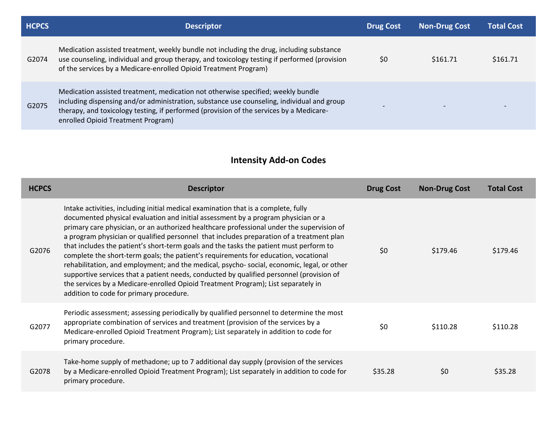| <b>HCPCS</b> | <b>Descriptor</b>                                                                                                                                                                                                                                                                                               | <b>Drug Cost</b>         | <b>Non-Drug Cost</b> | <b>Total Cost</b>        |
|--------------|-----------------------------------------------------------------------------------------------------------------------------------------------------------------------------------------------------------------------------------------------------------------------------------------------------------------|--------------------------|----------------------|--------------------------|
| G2074        | Medication assisted treatment, weekly bundle not including the drug, including substance<br>use counseling, individual and group therapy, and toxicology testing if performed (provision<br>of the services by a Medicare-enrolled Opioid Treatment Program)                                                    | \$0                      | \$161.71             | \$161.71                 |
| G2075        | Medication assisted treatment, medication not otherwise specified; weekly bundle<br>including dispensing and/or administration, substance use counseling, individual and group<br>therapy, and toxicology testing, if performed (provision of the services by a Medicare-<br>enrolled Opioid Treatment Program) | $\overline{\phantom{0}}$ |                      | $\overline{\phantom{0}}$ |

## **Intensity Add-on Codes**

| <b>HCPCS</b> | <b>Descriptor</b>                                                                                                                                                                                                                                                                                                                                                                                                                                                                                                                                                                                                                                                                                                                                                                                                                                                          | <b>Drug Cost</b> | <b>Non-Drug Cost</b> | <b>Total Cost</b> |
|--------------|----------------------------------------------------------------------------------------------------------------------------------------------------------------------------------------------------------------------------------------------------------------------------------------------------------------------------------------------------------------------------------------------------------------------------------------------------------------------------------------------------------------------------------------------------------------------------------------------------------------------------------------------------------------------------------------------------------------------------------------------------------------------------------------------------------------------------------------------------------------------------|------------------|----------------------|-------------------|
| G2076        | Intake activities, including initial medical examination that is a complete, fully<br>documented physical evaluation and initial assessment by a program physician or a<br>primary care physician, or an authorized healthcare professional under the supervision of<br>a program physician or qualified personnel that includes preparation of a treatment plan<br>that includes the patient's short-term goals and the tasks the patient must perform to<br>complete the short-term goals; the patient's requirements for education, vocational<br>rehabilitation, and employment; and the medical, psycho-social, economic, legal, or other<br>supportive services that a patient needs, conducted by qualified personnel (provision of<br>the services by a Medicare-enrolled Opioid Treatment Program); List separately in<br>addition to code for primary procedure. | \$0              | \$179.46             | \$179.46          |
| G2077        | Periodic assessment; assessing periodically by qualified personnel to determine the most<br>appropriate combination of services and treatment (provision of the services by a<br>Medicare-enrolled Opioid Treatment Program); List separately in addition to code for<br>primary procedure.                                                                                                                                                                                                                                                                                                                                                                                                                                                                                                                                                                                | \$0              | \$110.28             | \$110.28          |
| G2078        | Take-home supply of methadone; up to 7 additional day supply (provision of the services<br>by a Medicare-enrolled Opioid Treatment Program); List separately in addition to code for<br>primary procedure.                                                                                                                                                                                                                                                                                                                                                                                                                                                                                                                                                                                                                                                                 | \$35.28          | \$0                  | \$35.28           |